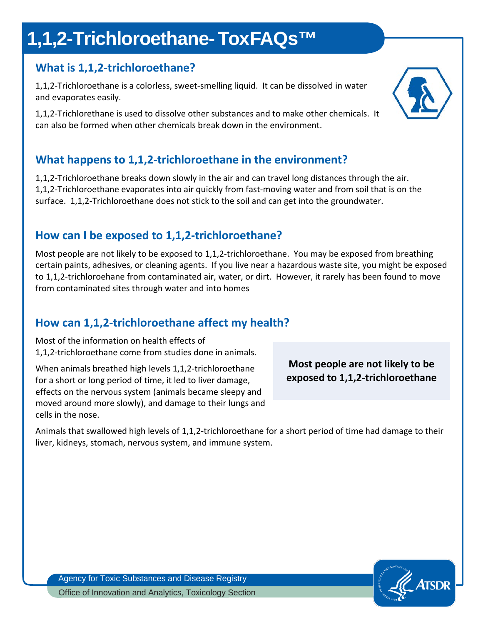# **1,1,2-Trichloroethane- ToxFAQs™**

## **What is 1,1,2-trichloroethane?**

1,1,2-Trichloroethane is a colorless, sweet-smelling liquid. It can be dissolved in water and evaporates easily.

1,1,2-Trichlorethane is used to dissolve other substances and to make other chemicals. It can also be formed when other chemicals break down in the environment.

## **What happens to 1,1,2-trichloroethane in the environment?**

1,1,2-Trichloroethane breaks down slowly in the air and can travel long distances through the air. 1,1,2-Trichloroethane evaporates into air quickly from fast-moving water and from soil that is on the surface. 1,1,2-Trichloroethane does not stick to the soil and can get into the groundwater.

### **How can I be exposed to 1,1,2-trichloroethane?**

Most people are not likely to be exposed to 1,1,2-trichloroethane. You may be exposed from breathing certain paints, adhesives, or cleaning agents. If you live near a hazardous waste site, you might be exposed to 1,1,2-trichloroehane from contaminated air, water, or dirt. However, it rarely has been found to move from contaminated sites through water and into homes

## **How can 1,1,2-trichloroethane affect my health?**

Most of the information on health effects of 1,1,2-trichloroethane come from studies done in animals.

When animals breathed high levels 1,1,2-trichloroethane for a short or long period of time, it led to liver damage, effects on the nervous system (animals became sleepy and moved around more slowly), and damage to their lungs and cells in the nose.

**Most people are not likely to be exposed to 1,1,2-trichloroethane** 

Animals that swallowed high levels of 1,1,2-trichloroethane for a short period of time had damage to their liver, kidneys, stomach, nervous system, and immune system.